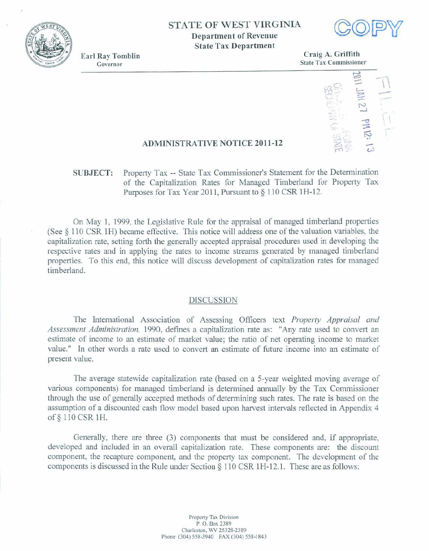

## **STATE OF WEST VIRGINIA**

**Department of Revenue State Tax Department** 



**Earl Ray Tomblin** Governor

**Craig A. Griffith State** Tax **Commissioner** 



## **ADMINISTRATIVE NOTICE 2011-12**

# **SUBJECT:** Property **Tax** - **State** Tax **Commissioner's** Statement for the **Detemhation of the Capitalization Rates for Managed Timberland for Property Tax Purposes** for **Tax Year** 20 **1** 1, Pursuant **to \$1** 10 **CSR 1 H-** 12.

**On** May 1, 1999, **the Legislative Rule** for **the appraisal of managed timberland properties (See** \$ **1 <sup>1</sup>0 CSR** 1 became **effective.** This notice will **address one** of **the** valuation **variables, the capitalization** rate, **setting forth** the **generally** accepted **appraisd procedures used in developing fie respective rates and in applying the** rates **to** income **streams** generated **by managed** timberland **properties.** To this end, this notice will discuss development of capitalization rates for managed **timberland.** 

### **DISCUSSION**

The International Association of Assessing Officers text Property Appraisal and Assessment Administration, 1990, defines a capitalization rate as: "Any rate used to convert an estimate **of** income **to an estimate of market value;** the **ratio** of **net** operating income **to market**  value." **In other words a rate** used **to** convert an estimate of **future** income into **an** estimate **of present value.** 

The average statewide capitalization rate (based on a 5-year weighted moving average of various components) **for** managed timberland is determined annually **by the** Tax **Commissioner through** the use of **generally accepted** methods of deknnining **such** rates. The rate **is** based **on the assumption** of **a discounted cash flow** model based **upon harvest intervals reflected in Appendix 4 of** *5* **110 CSR 1H.** 

Generally, there **are** three **(3)** components that must be considered and, **if appropriate,**  developed and included in an overall capitalization rate. These components are: the discount **component, the recapture component,** and the **property tax component. The development of** the **components is discussed in the** Rule under **Section 5 1 10 CSR** 1 H- 12.1. **These** are **as follows:**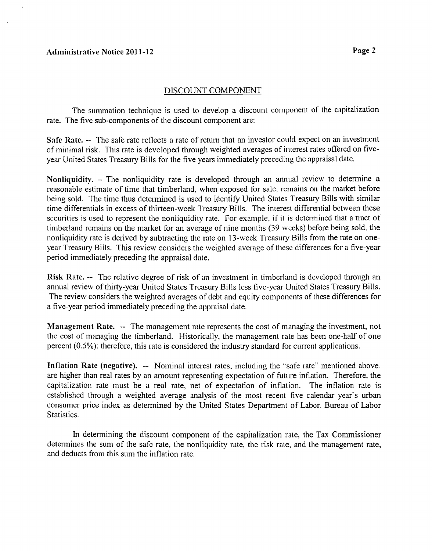### **Acl~~linistrative Notice 201 1-1 2**

### DISCOUNT COMPONENT

The summation technique is used to develop a discount component of the capitalization rate. The five sub-components of the discount component are:

**Safe Rate. -- The safe rate reflects a rate of return that an investor could expect on an investment** of minimal risk. This rate is developed through weighted averages of interest rates offered on fiveyear United States Treasury Bills for the five years immediately preceding the appraisal date.

Nonliquidity. – The nonliquidity rate is developed through an annual review to determine a reasonable estimate of time that timberland, when exposed for sale, remains on the market before being sold. The time thus determined is used to identify United States Treasury Bills with similar time differentials in excess of thirteen-week Treasury Bills. The interest differential between these securities is used to represent the nonliquidity rate. For example, if it is determined that a tract of timberland remains on the market for an average of nine months (39 weeks) before being sold, the nonliquidity rate is derived by subtracting the rate on 13-week Treasury Bills from the rate on oneyear Treasury Bills. This review considers the weighted average of thesc differences for a five-year period immediately preceding the appraisal date.

Risk Rate. -- The relative degree of risk of an investment in timberland is developed through an annual review of thirty-year United States Treasury Bills less five-year United States Treasury Bills. The review considers the weighted averages of debt and equity components of these differences for a five-year period immediately preceding the appraisal date.

**Management Rate. -- The management rate represents the cost of managing the investment, not** the cost of managing the timberland. Historically, the management rate has been one-half of one percent (0.5%); therefore, this rate is considered the industry standard for current applications.

**Inflation Rate (negative).** -- Nominal interest rates, including the "safe rate" mentioned above, are higher than real rates by an amount representing expectation of future inflation. Therefore, the capitalization rate must be a real rate, net of expectation of inflation. The inflation rate is established through a weighted average analysis of the most recent five calendar year's urban consumer price index as determined by the United States Department of Labor, Bureau of Labor Statistics.

In determining the discount component of the capitalization rate, the Tax Commissioner determines the sum of the safe rate, the nonliquidity rate, the risk rate, and the management rate, and deducts from this sum the inflation rate.